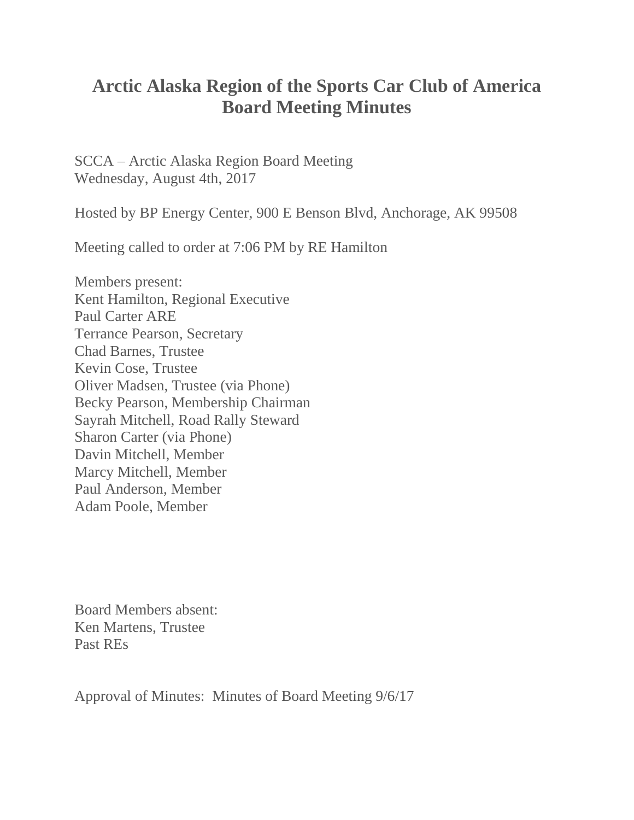## **Arctic Alaska Region of the Sports Car Club of America Board Meeting Minutes**

SCCA – Arctic Alaska Region Board Meeting Wednesday, August 4th, 2017

Hosted by BP Energy Center, 900 E Benson Blvd, Anchorage, AK 99508

Meeting called to order at 7:06 PM by RE Hamilton

Members present: Kent Hamilton, Regional Executive Paul Carter ARE Terrance Pearson, Secretary Chad Barnes, Trustee Kevin Cose, Trustee Oliver Madsen, Trustee (via Phone) Becky Pearson, Membership Chairman Sayrah Mitchell, Road Rally Steward Sharon Carter (via Phone) Davin Mitchell, Member Marcy Mitchell, Member Paul Anderson, Member Adam Poole, Member

Board Members absent: Ken Martens, Trustee Past REs

Approval of Minutes: Minutes of Board Meeting 9/6/17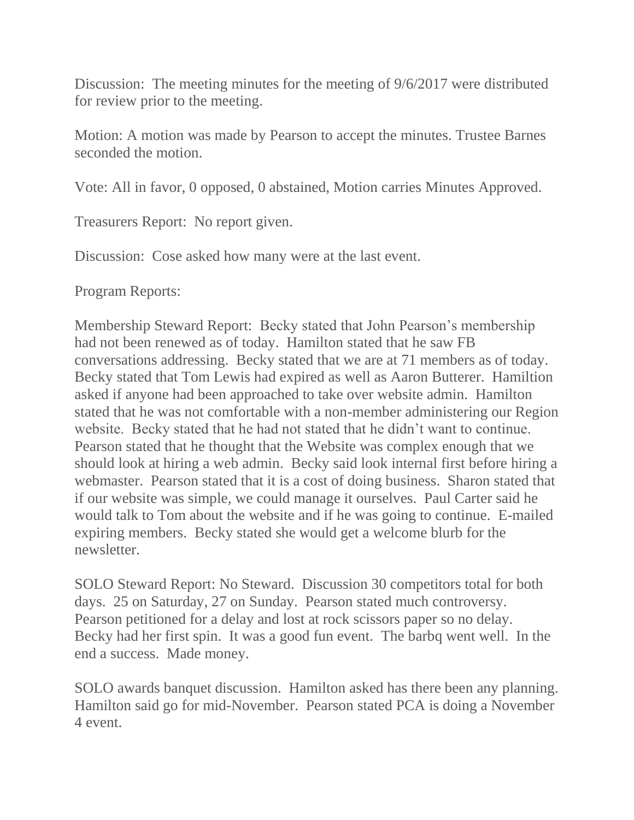Discussion: The meeting minutes for the meeting of 9/6/2017 were distributed for review prior to the meeting.

Motion: A motion was made by Pearson to accept the minutes. Trustee Barnes seconded the motion.

Vote: All in favor, 0 opposed, 0 abstained, Motion carries Minutes Approved.

Treasurers Report: No report given.

Discussion: Cose asked how many were at the last event.

Program Reports:

Membership Steward Report: Becky stated that John Pearson's membership had not been renewed as of today. Hamilton stated that he saw FB conversations addressing. Becky stated that we are at 71 members as of today. Becky stated that Tom Lewis had expired as well as Aaron Butterer. Hamiltion asked if anyone had been approached to take over website admin. Hamilton stated that he was not comfortable with a non-member administering our Region website. Becky stated that he had not stated that he didn't want to continue. Pearson stated that he thought that the Website was complex enough that we should look at hiring a web admin. Becky said look internal first before hiring a webmaster. Pearson stated that it is a cost of doing business. Sharon stated that if our website was simple, we could manage it ourselves. Paul Carter said he would talk to Tom about the website and if he was going to continue. E-mailed expiring members. Becky stated she would get a welcome blurb for the newsletter.

SOLO Steward Report: No Steward. Discussion 30 competitors total for both days. 25 on Saturday, 27 on Sunday. Pearson stated much controversy. Pearson petitioned for a delay and lost at rock scissors paper so no delay. Becky had her first spin. It was a good fun event. The barbq went well. In the end a success. Made money.

SOLO awards banquet discussion. Hamilton asked has there been any planning. Hamilton said go for mid-November. Pearson stated PCA is doing a November 4 event.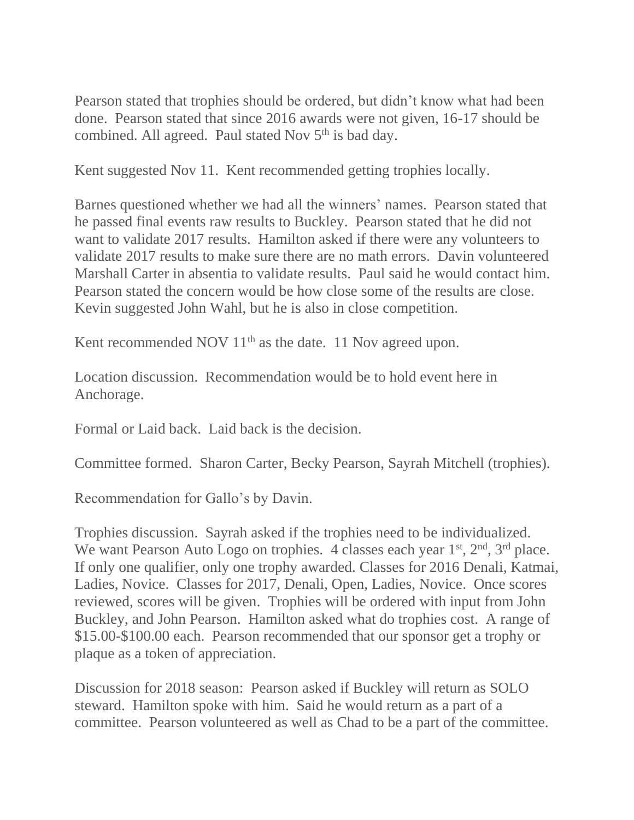Pearson stated that trophies should be ordered, but didn't know what had been done. Pearson stated that since 2016 awards were not given, 16-17 should be combined. All agreed. Paul stated Nov  $5<sup>th</sup>$  is bad day.

Kent suggested Nov 11. Kent recommended getting trophies locally.

Barnes questioned whether we had all the winners' names. Pearson stated that he passed final events raw results to Buckley. Pearson stated that he did not want to validate 2017 results. Hamilton asked if there were any volunteers to validate 2017 results to make sure there are no math errors. Davin volunteered Marshall Carter in absentia to validate results. Paul said he would contact him. Pearson stated the concern would be how close some of the results are close. Kevin suggested John Wahl, but he is also in close competition.

Kent recommended NOV 11<sup>th</sup> as the date. 11 Nov agreed upon.

Location discussion. Recommendation would be to hold event here in Anchorage.

Formal or Laid back. Laid back is the decision.

Committee formed. Sharon Carter, Becky Pearson, Sayrah Mitchell (trophies).

Recommendation for Gallo's by Davin.

Trophies discussion. Sayrah asked if the trophies need to be individualized. We want Pearson Auto Logo on trophies. 4 classes each year 1<sup>st</sup>, 2<sup>nd</sup>, 3<sup>rd</sup> place. If only one qualifier, only one trophy awarded. Classes for 2016 Denali, Katmai, Ladies, Novice. Classes for 2017, Denali, Open, Ladies, Novice. Once scores reviewed, scores will be given. Trophies will be ordered with input from John Buckley, and John Pearson. Hamilton asked what do trophies cost. A range of \$15.00-\$100.00 each. Pearson recommended that our sponsor get a trophy or plaque as a token of appreciation.

Discussion for 2018 season: Pearson asked if Buckley will return as SOLO steward. Hamilton spoke with him. Said he would return as a part of a committee. Pearson volunteered as well as Chad to be a part of the committee.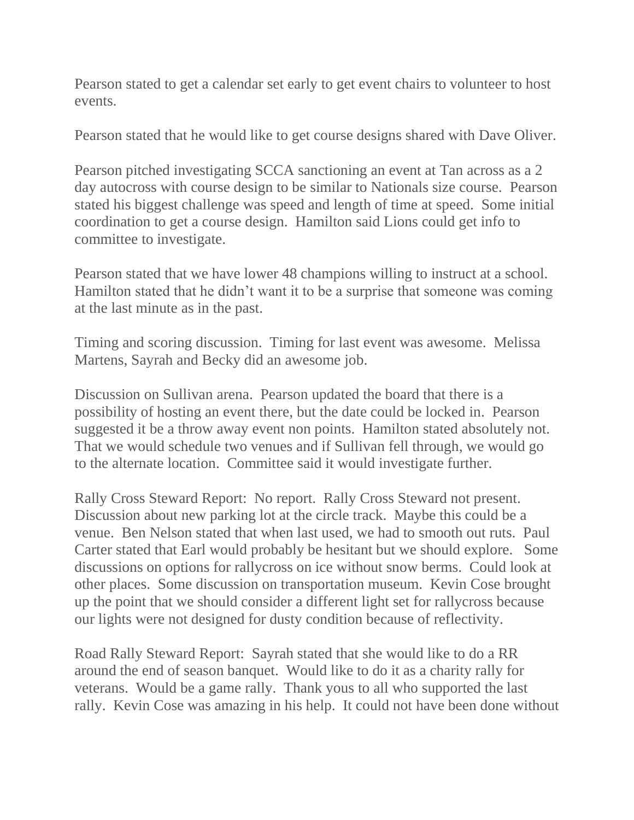Pearson stated to get a calendar set early to get event chairs to volunteer to host events.

Pearson stated that he would like to get course designs shared with Dave Oliver.

Pearson pitched investigating SCCA sanctioning an event at Tan across as a 2 day autocross with course design to be similar to Nationals size course. Pearson stated his biggest challenge was speed and length of time at speed. Some initial coordination to get a course design. Hamilton said Lions could get info to committee to investigate.

Pearson stated that we have lower 48 champions willing to instruct at a school. Hamilton stated that he didn't want it to be a surprise that someone was coming at the last minute as in the past.

Timing and scoring discussion. Timing for last event was awesome. Melissa Martens, Sayrah and Becky did an awesome job.

Discussion on Sullivan arena. Pearson updated the board that there is a possibility of hosting an event there, but the date could be locked in. Pearson suggested it be a throw away event non points. Hamilton stated absolutely not. That we would schedule two venues and if Sullivan fell through, we would go to the alternate location. Committee said it would investigate further.

Rally Cross Steward Report: No report. Rally Cross Steward not present. Discussion about new parking lot at the circle track. Maybe this could be a venue. Ben Nelson stated that when last used, we had to smooth out ruts. Paul Carter stated that Earl would probably be hesitant but we should explore. Some discussions on options for rallycross on ice without snow berms. Could look at other places. Some discussion on transportation museum. Kevin Cose brought up the point that we should consider a different light set for rallycross because our lights were not designed for dusty condition because of reflectivity.

Road Rally Steward Report: Sayrah stated that she would like to do a RR around the end of season banquet. Would like to do it as a charity rally for veterans. Would be a game rally. Thank yous to all who supported the last rally. Kevin Cose was amazing in his help. It could not have been done without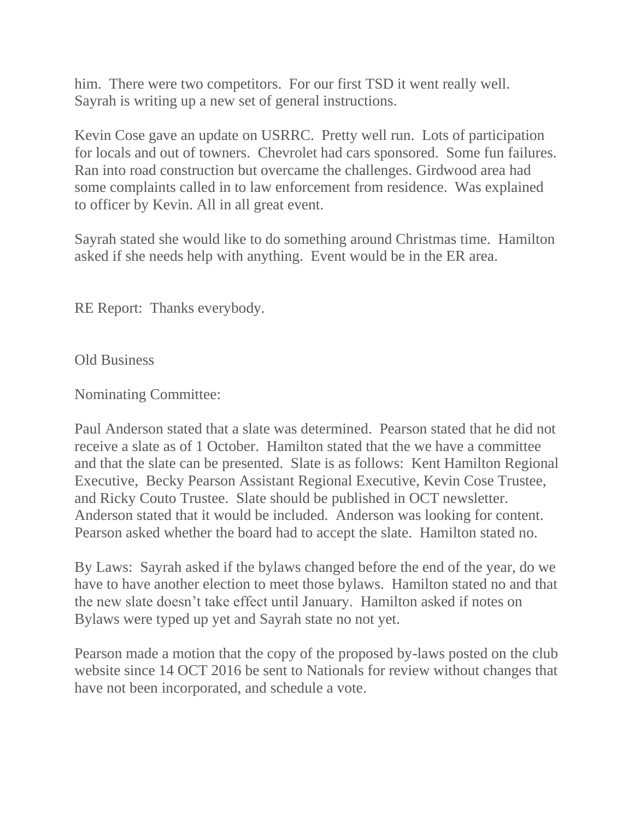him. There were two competitors. For our first TSD it went really well. Sayrah is writing up a new set of general instructions.

Kevin Cose gave an update on USRRC. Pretty well run. Lots of participation for locals and out of towners. Chevrolet had cars sponsored. Some fun failures. Ran into road construction but overcame the challenges. Girdwood area had some complaints called in to law enforcement from residence. Was explained to officer by Kevin. All in all great event.

Sayrah stated she would like to do something around Christmas time. Hamilton asked if she needs help with anything. Event would be in the ER area.

RE Report: Thanks everybody.

Old Business

Nominating Committee:

Paul Anderson stated that a slate was determined. Pearson stated that he did not receive a slate as of 1 October. Hamilton stated that the we have a committee and that the slate can be presented. Slate is as follows: Kent Hamilton Regional Executive, Becky Pearson Assistant Regional Executive, Kevin Cose Trustee, and Ricky Couto Trustee. Slate should be published in OCT newsletter. Anderson stated that it would be included. Anderson was looking for content. Pearson asked whether the board had to accept the slate. Hamilton stated no.

By Laws: Sayrah asked if the bylaws changed before the end of the year, do we have to have another election to meet those bylaws. Hamilton stated no and that the new slate doesn't take effect until January. Hamilton asked if notes on Bylaws were typed up yet and Sayrah state no not yet.

Pearson made a motion that the copy of the proposed by-laws posted on the club website since 14 OCT 2016 be sent to Nationals for review without changes that have not been incorporated, and schedule a vote.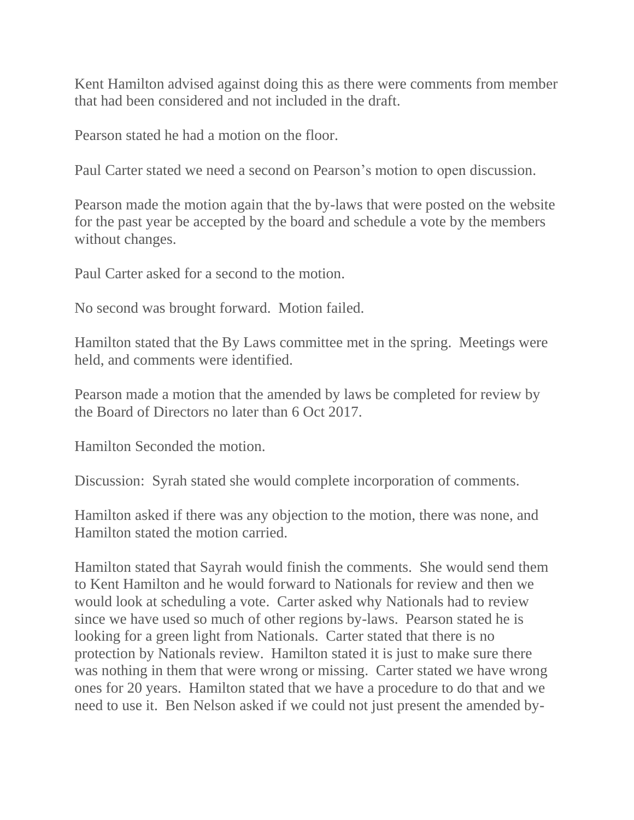Kent Hamilton advised against doing this as there were comments from member that had been considered and not included in the draft.

Pearson stated he had a motion on the floor.

Paul Carter stated we need a second on Pearson's motion to open discussion.

Pearson made the motion again that the by-laws that were posted on the website for the past year be accepted by the board and schedule a vote by the members without changes.

Paul Carter asked for a second to the motion.

No second was brought forward. Motion failed.

Hamilton stated that the By Laws committee met in the spring. Meetings were held, and comments were identified.

Pearson made a motion that the amended by laws be completed for review by the Board of Directors no later than 6 Oct 2017.

Hamilton Seconded the motion.

Discussion: Syrah stated she would complete incorporation of comments.

Hamilton asked if there was any objection to the motion, there was none, and Hamilton stated the motion carried.

Hamilton stated that Sayrah would finish the comments. She would send them to Kent Hamilton and he would forward to Nationals for review and then we would look at scheduling a vote. Carter asked why Nationals had to review since we have used so much of other regions by-laws. Pearson stated he is looking for a green light from Nationals. Carter stated that there is no protection by Nationals review. Hamilton stated it is just to make sure there was nothing in them that were wrong or missing. Carter stated we have wrong ones for 20 years. Hamilton stated that we have a procedure to do that and we need to use it. Ben Nelson asked if we could not just present the amended by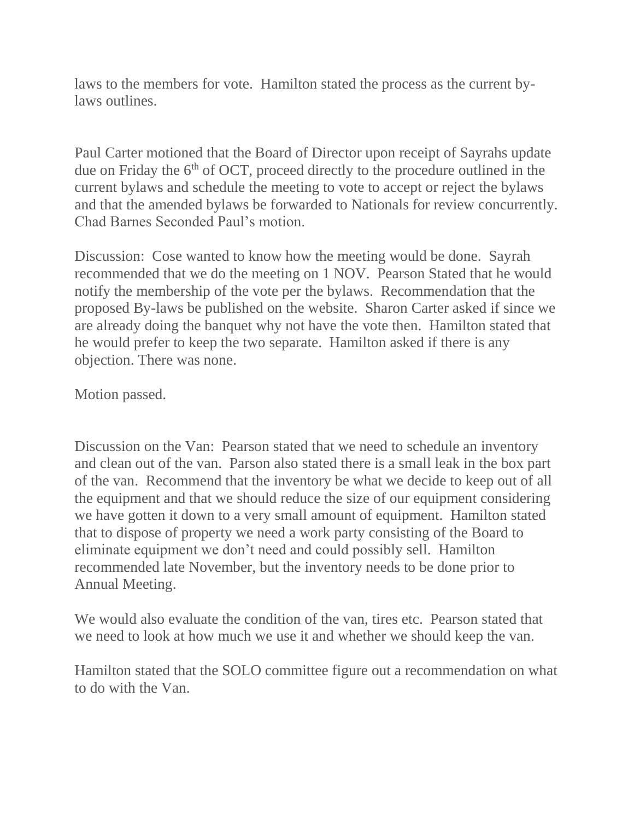laws to the members for vote. Hamilton stated the process as the current bylaws outlines.

Paul Carter motioned that the Board of Director upon receipt of Sayrahs update due on Friday the  $6<sup>th</sup>$  of OCT, proceed directly to the procedure outlined in the current bylaws and schedule the meeting to vote to accept or reject the bylaws and that the amended bylaws be forwarded to Nationals for review concurrently. Chad Barnes Seconded Paul's motion.

Discussion: Cose wanted to know how the meeting would be done. Sayrah recommended that we do the meeting on 1 NOV. Pearson Stated that he would notify the membership of the vote per the bylaws. Recommendation that the proposed By-laws be published on the website. Sharon Carter asked if since we are already doing the banquet why not have the vote then. Hamilton stated that he would prefer to keep the two separate. Hamilton asked if there is any objection. There was none.

Motion passed.

Discussion on the Van: Pearson stated that we need to schedule an inventory and clean out of the van. Parson also stated there is a small leak in the box part of the van. Recommend that the inventory be what we decide to keep out of all the equipment and that we should reduce the size of our equipment considering we have gotten it down to a very small amount of equipment. Hamilton stated that to dispose of property we need a work party consisting of the Board to eliminate equipment we don't need and could possibly sell. Hamilton recommended late November, but the inventory needs to be done prior to Annual Meeting.

We would also evaluate the condition of the van, tires etc. Pearson stated that we need to look at how much we use it and whether we should keep the van.

Hamilton stated that the SOLO committee figure out a recommendation on what to do with the Van.